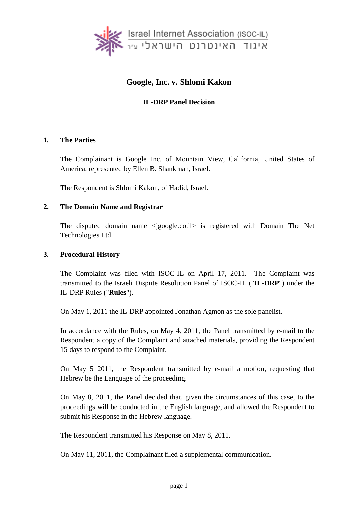

## **Google, Inc. v. Shlomi Kakon**

## **IL-DRP Panel Decision**

#### **1. The Parties**

The Complainant is Google Inc. of Mountain View, California, United States of America, represented by Ellen B. Shankman, Israel.

The Respondent is Shlomi Kakon, of Hadid, Israel.

#### **2. The Domain Name and Registrar**

The disputed domain name <jgoogle.co.il> is registered with Domain The Net Technologies Ltd

#### **3. Procedural History**

The Complaint was filed with ISOC-IL on April 17, 2011. The Complaint was transmitted to the Israeli Dispute Resolution Panel of ISOC-IL ("**IL-DRP**") under the IL-DRP Rules ("**Rules**").

On May 1, 2011 the IL-DRP appointed Jonathan Agmon as the sole panelist.

In accordance with the Rules, on May 4, 2011, the Panel transmitted by e-mail to the Respondent a copy of the Complaint and attached materials, providing the Respondent 15 days to respond to the Complaint.

On May 5 2011, the Respondent transmitted by e-mail a motion, requesting that Hebrew be the Language of the proceeding.

On May 8, 2011, the Panel decided that, given the circumstances of this case, to the proceedings will be conducted in the English language, and allowed the Respondent to submit his Response in the Hebrew language.

The Respondent transmitted his Response on May 8, 2011.

On May 11, 2011, the Complainant filed a supplemental communication.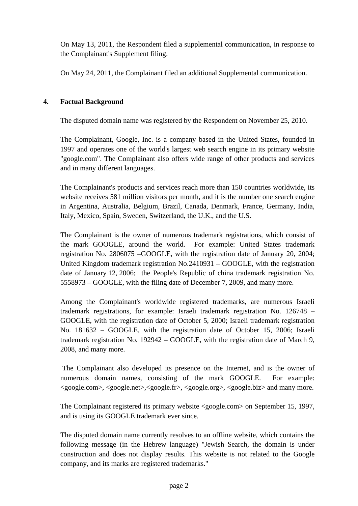On May 13, 2011, the Respondent filed a supplemental communication, in response to the Complainant's Supplement filing.

On May 24, 2011, the Complainant filed an additional Supplemental communication.

## **4. Factual Background**

The disputed domain name was registered by the Respondent on November 25, 2010.

The Complainant, Google, Inc. is a company based in the United States, founded in 1997 and operates one of the world's largest web search engine in its primary website "google.com". The Complainant also offers wide range of other products and services and in many different languages.

The Complainant's products and services reach more than 150 countries worldwide, its website receives 581 million visitors per month, and it is the number one search engine in Argentina, Australia, Belgium, Brazil, Canada, Denmark, France, Germany, India, Italy, Mexico, Spain, Sweden, Switzerland, the U.K., and the U.S.

The Complainant is the owner of numerous trademark registrations, which consist of the mark GOOGLE, around the world. For example: United States trademark registration No. 2806075 –GOOGLE, with the registration date of January 20, 2004; United Kingdom trademark registration No.2410931 – GOOGLE, with the registration date of January 12, 2006; the People's Republic of china trademark registration No. 5558973 – GOOGLE, with the filing date of December 7, 2009, and many more.

Among the Complainant's worldwide registered trademarks, are numerous Israeli trademark registrations, for example: Israeli trademark registration No. 126748 – GOOGLE, with the registration date of October 5, 2000; Israeli trademark registration No. 181632 – GOOGLE, with the registration date of October 15, 2006; Israeli trademark registration No. 192942 – GOOGLE, with the registration date of March 9, 2008, and many more.

 The Complainant also developed its presence on the Internet, and is the owner of numerous domain names, consisting of the mark GOOGLE. For example: <google.com>, <google.net>,<google.fr>, <google.org>, <google.biz> and many more.

The Complainant registered its primary website <google.com> on September 15, 1997, and is using its GOOGLE trademark ever since.

The disputed domain name currently resolves to an offline website, which contains the following message (in the Hebrew language) "Jewish Search, the domain is under construction and does not display results. This website is not related to the Google company, and its marks are registered trademarks."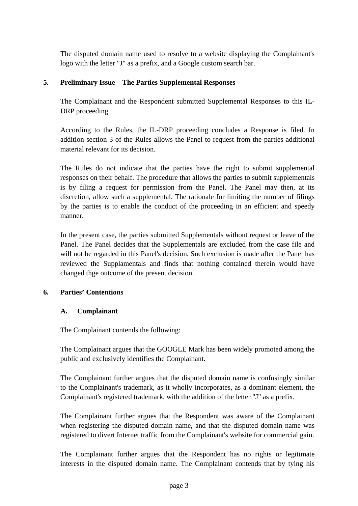The disputed domain name used to resolve to a website displaying the Complainant's logo with the letter "J" as a prefix, and a Google custom search bar.

## **5. Preliminary Issue – The Parties Supplemental Responses**

The Complainant and the Respondent submitted Supplemental Responses to this IL-DRP proceeding.

According to the Rules, the IL-DRP proceeding concludes a Response is filed. In addition section 3 of the Rules allows the Panel to request from the parties additional material relevant for its decision.

The Rules do not indicate that the parties have the right to submit supplemental responses on their behalf. The procedure that allows the parties to submit supplementals is by filing a request for permission from the Panel. The Panel may then, at its discretion, allow such a supplemental. The rationale for limiting the number of filings by the parties is to enable the conduct of the proceeding in an efficient and speedy manner.

In the present case, the parties submitted Supplementals without request or leave of the Panel. The Panel decides that the Supplementals are excluded from the case file and will not be regarded in this Panel's decision. Such exclusion is made after the Panel has reviewed the Supplamentals and finds that nothing contained therein would have changed thge outcome of the present decision.

#### **6. Parties' Contentions**

#### **A. Complainant**

The Complainant contends the following:

The Complainant argues that the GOOGLE Mark has been widely promoted among the public and exclusively identifies the Complainant.

The Complainant further argues that the disputed domain name is confusingly similar to the Complainant's trademark, as it wholly incorporates, as a dominant element, the Complainant's registered trademark, with the addition of the letter "J" as a prefix.

The Complainant further argues that the Respondent was aware of the Complainant when registering the disputed domain name, and that the disputed domain name was registered to divert Internet traffic from the Complainant's website for commercial gain.

The Complainant further argues that the Respondent has no rights or legitimate interests in the disputed domain name. The Complainant contends that by tying his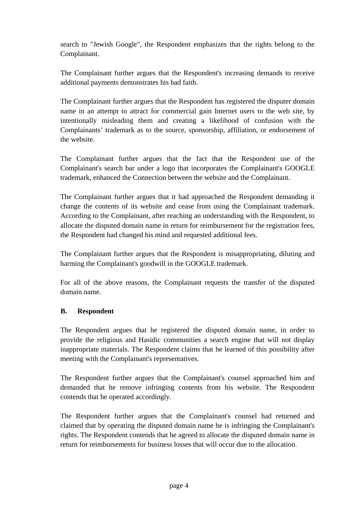search to "Jewish Google", the Respondent emphasizes that the rights belong to the Complainant.

The Complainant further argues that the Respondent's increasing demands to receive additional payments demonstrates his bad faith.

The Complainant further argues that the Respondent has registered the disputer domain name in an attempt to attract for commercial gain Internet users to the web site, by intentionally misleading them and creating a likelihood of confusion with the Complainants' trademark as to the source, sponsorship, affiliation, or endorsement of the website.

The Complainant further argues that the fact that the Respondent use of the Complainant's search bar under a logo that incorporates the Complainant's GOOGLE trademark, enhanced the Connection between the website and the Complainant.

The Complainant further argues that it had approached the Respondent demanding it change the contents of its website and cease from using the Complainant trademark. According to the Complainant, after reaching an understanding with the Respondent, to allocate the disputed domain name in return for reimbursement for the registration fees, the Respondent had changed his mind and requested additional fees.

The Complainant further argues that the Respondent is misappropriating, diluting and harming the Complainant's goodwill in the GOOGLE trademark.

For all of the above reasons, the Complainant requests the transfer of the disputed domain name.

## **B. Respondent**

The Respondent argues that he registered the disputed domain name, in order to provide the religious and Hasidic communities a search engine that will not display inappropriate materials. The Respondent claims that he learned of this possibility after meeting with the Complainant's representatives.

The Respondent further argues that the Complainant's counsel approached him and demanded that he remove infringing contents from his website. The Respondent contends that he operated accordingly.

The Respondent further argues that the Complainant's counsel had returned and claimed that by operating the disputed domain name he is infringing the Complainant's rights. The Respondent contends that he agreed to allocate the disputed domain name in return for reimbursements for business losses that will occur due to the allocation.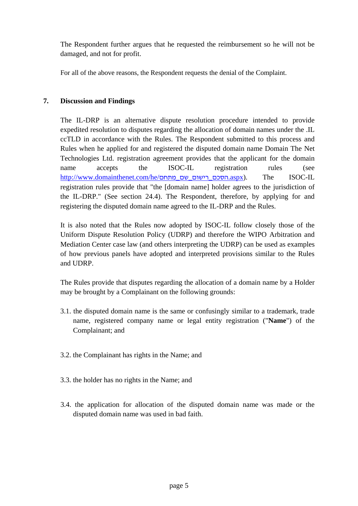The Respondent further argues that he requested the reimbursement so he will not be damaged, and not for profit.

For all of the above reasons, the Respondent requests the denial of the Complaint.

## **7. Discussion and Findings**

The IL-DRP is an alternative dispute resolution procedure intended to provide expedited resolution to disputes regarding the allocation of domain names under the .IL ccTLD in accordance with the Rules. The Respondent submitted to this process and Rules when he applied for and registered the disputed domain name Domain The Net Technologies Ltd. registration agreement provides that the applicant for the domain name accepts the ISOC-IL registration rules (see http://www.domainthenet.com/he/מתחם\_שם\_רישום\_הסכם.aspx). The ISOC-IL registration rules provide that "the [domain name] holder agrees to the jurisdiction of the IL-DRP." (See section 24.4). The Respondent, therefore, by applying for and registering the disputed domain name agreed to the IL-DRP and the Rules.

It is also noted that the Rules now adopted by ISOC-IL follow closely those of the Uniform Dispute Resolution Policy (UDRP) and therefore the WIPO Arbitration and Mediation Center case law (and others interpreting the UDRP) can be used as examples of how previous panels have adopted and interpreted provisions similar to the Rules and UDRP.

The Rules provide that disputes regarding the allocation of a domain name by a Holder may be brought by a Complainant on the following grounds:

- 3.1. the disputed domain name is the same or confusingly similar to a trademark, trade name, registered company name or legal entity registration ("**Name**") of the Complainant; and
- 3.2. the Complainant has rights in the Name; and
- 3.3. the holder has no rights in the Name; and
- 3.4. the application for allocation of the disputed domain name was made or the disputed domain name was used in bad faith.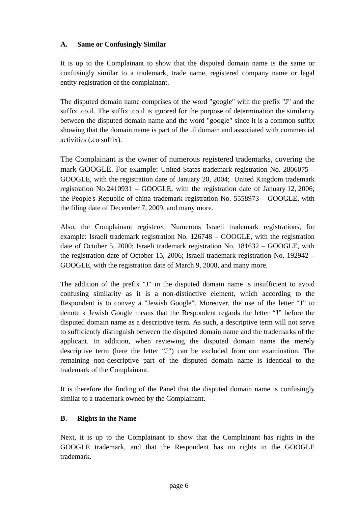## **A. Same or Confusingly Similar**

It is up to the Complainant to show that the disputed domain name is the same or confusingly similar to a trademark, trade name, registered company name or legal entity registration of the complainant.

The disputed domain name comprises of the word "google" with the prefix "J" and the suffix .co.il. The suffix .co.il is ignored for the purpose of determination the similarity between the disputed domain name and the word "google" since it is a common suffix showing that the domain name is part of the .il domain and associated with commercial activities (.co suffix).

The Complainant is the owner of numerous registered trademarks, covering the mark GOOGLE. For example: United States trademark registration No. 2806075 – GOOGLE, with the registration date of January 20, 2004; United Kingdom trademark registration No.2410931 – GOOGLE, with the registration date of January 12, 2006; the People's Republic of china trademark registration No. 5558973 – GOOGLE, with the filing date of December 7, 2009, and many more.

Also, the Complainant registered Numerous Israeli trademark registrations, for example: Israeli trademark registration No. 126748 – GOOGLE, with the registration date of October 5, 2000; Israeli trademark registration No. 181632 – GOOGLE, with the registration date of October 15, 2006; Israeli trademark registration No. 192942 – GOOGLE, with the registration date of March 9, 2008, and many more.

The addition of the prefix "J" in the disputed domain name is insufficient to avoid confusing similarity as it is a non-distinctive element, which according to the Respondent is to convey a "Jewish Google". Moreover, the use of the letter "J" to denote a Jewish Google means that the Respondent regards the letter "J" before the disputed domain name as a descriptive term. As such, a descriptive term will not serve to sufficiently distinguish between the disputed domain name and the trademarks of the applicant. In addition, when reviewing the disputed domain name the merely descriptive term (here the letter "J") can be excluded from our examination. The remaining non-descriptive part of the disputed domain name is identical to the trademark of the Complainant.

It is therefore the finding of the Panel that the disputed domain name is confusingly similar to a trademark owned by the Complainant.

## **B. Rights in the Name**

Next, it is up to the Complainant to show that the Complainant has rights in the GOOGLE trademark, and that the Respondent has no rights in the GOOGLE trademark.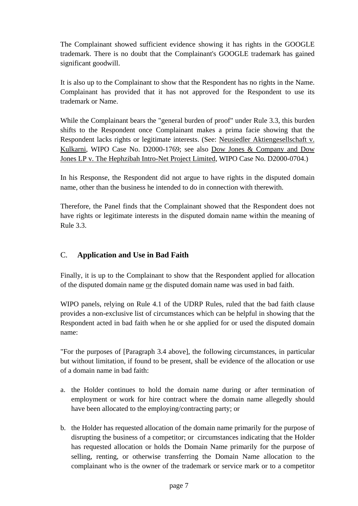The Complainant showed sufficient evidence showing it has rights in the GOOGLE trademark. There is no doubt that the Complainant's GOOGLE trademark has gained significant goodwill.

It is also up to the Complainant to show that the Respondent has no rights in the Name. Complainant has provided that it has not approved for the Respondent to use its trademark or Name.

While the Complainant bears the "general burden of proof" under Rule 3.3, this burden shifts to the Respondent once Complainant makes a prima facie showing that the Respondent lacks rights or legitimate interests. (See: Neusiedler Aktiengesellschaft v. Kulkarni, WIPO Case No. D2000-1769; see also Dow Jones & Company and Dow Jones LP v. The Hephzibah Intro-Net Project Limited, WIPO Case No. D2000-0704.)

In his Response, the Respondent did not argue to have rights in the disputed domain name, other than the business he intended to do in connection with therewith.

Therefore, the Panel finds that the Complainant showed that the Respondent does not have rights or legitimate interests in the disputed domain name within the meaning of Rule 3.3.

# C. **Application and Use in Bad Faith**

Finally, it is up to the Complainant to show that the Respondent applied for allocation of the disputed domain name or the disputed domain name was used in bad faith.

WIPO panels, relying on Rule 4.1 of the UDRP Rules, ruled that the bad faith clause provides a non-exclusive list of circumstances which can be helpful in showing that the Respondent acted in bad faith when he or she applied for or used the disputed domain name:

"For the purposes of [Paragraph 3.4 above], the following circumstances, in particular but without limitation, if found to be present, shall be evidence of the allocation or use of a domain name in bad faith:

- a. the Holder continues to hold the domain name during or after termination of employment or work for hire contract where the domain name allegedly should have been allocated to the employing/contracting party; or
- b. the Holder has requested allocation of the domain name primarily for the purpose of disrupting the business of a competitor; or circumstances indicating that the Holder has requested allocation or holds the Domain Name primarily for the purpose of selling, renting, or otherwise transferring the Domain Name allocation to the complainant who is the owner of the trademark or service mark or to a competitor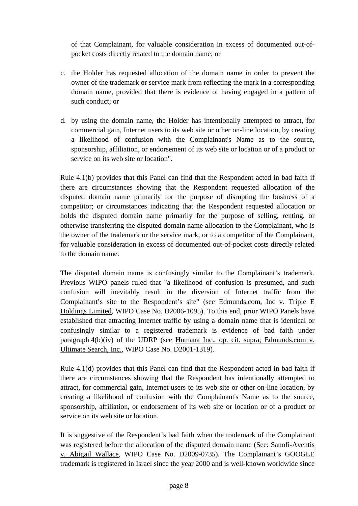of that Complainant, for valuable consideration in excess of documented out-ofpocket costs directly related to the domain name; or

- c. the Holder has requested allocation of the domain name in order to prevent the owner of the trademark or service mark from reflecting the mark in a corresponding domain name, provided that there is evidence of having engaged in a pattern of such conduct; or
- d. by using the domain name, the Holder has intentionally attempted to attract, for commercial gain, Internet users to its web site or other on-line location, by creating a likelihood of confusion with the Complainant's Name as to the source, sponsorship, affiliation, or endorsement of its web site or location or of a product or service on its web site or location".

Rule 4.1(b) provides that this Panel can find that the Respondent acted in bad faith if there are circumstances showing that the Respondent requested allocation of the disputed domain name primarily for the purpose of disrupting the business of a competitor; or circumstances indicating that the Respondent requested allocation or holds the disputed domain name primarily for the purpose of selling, renting, or otherwise transferring the disputed domain name allocation to the Complainant, who is the owner of the trademark or the service mark, or to a competitor of the Complainant, for valuable consideration in excess of documented out-of-pocket costs directly related to the domain name.

The disputed domain name is confusingly similar to the Complainant's trademark. Previous WIPO panels ruled that "a likelihood of confusion is presumed, and such confusion will inevitably result in the diversion of Internet traffic from the Complainant's site to the Respondent's site" (see Edmunds.com, Inc v. Triple E Holdings Limited, WIPO Case No. D2006-1095). To this end, prior WIPO Panels have established that attracting Internet traffic by using a domain name that is identical or confusingly similar to a registered trademark is evidence of bad faith under paragraph 4(b)(iv) of the UDRP (see Humana Inc., op. cit. supra; Edmunds.com v. Ultimate Search, Inc., WIPO Case No. D2001-1319).

Rule 4.1(d) provides that this Panel can find that the Respondent acted in bad faith if there are circumstances showing that the Respondent has intentionally attempted to attract, for commercial gain, Internet users to its web site or other on-line location, by creating a likelihood of confusion with the Complainant's Name as to the source, sponsorship, affiliation, or endorsement of its web site or location or of a product or service on its web site or location.

It is suggestive of the Respondent's bad faith when the trademark of the Complainant was registered before the allocation of the disputed domain name (See: Sanofi-Aventis v. Abigail Wallace, WIPO Case No. D2009-0735). The Complainant's GOOGLE trademark is registered in Israel since the year 2000 and is well-known worldwide since